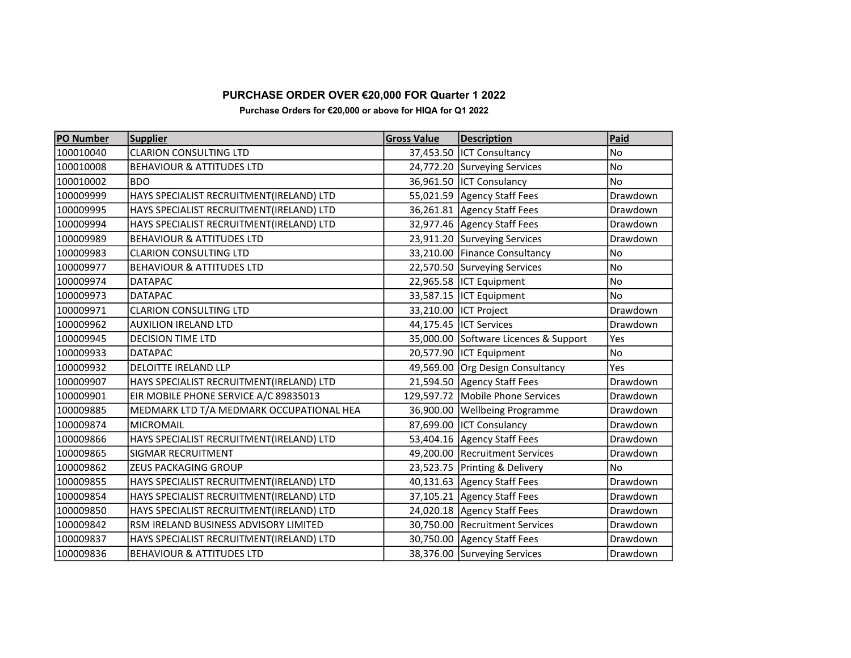## PURCHASE ORDER OVER €20,000 FOR Quarter 1 2022

## Purchase Orders for €20,000 or above for HIQA for Q1 2022

| <b>PO Number</b> | <b>Supplier</b>                          | <b>Gross Value</b> | <b>Description</b>                    | Paid      |
|------------------|------------------------------------------|--------------------|---------------------------------------|-----------|
| 100010040        | <b>CLARION CONSULTING LTD</b>            |                    | 37,453.50   ICT Consultancy           | No        |
| 100010008        | <b>BEHAVIOUR &amp; ATTITUDES LTD</b>     |                    | 24,772.20 Surveying Services          | No        |
| 100010002        | <b>BDO</b>                               |                    | 36,961.50  ICT Consulancy             | No        |
| 100009999        | HAYS SPECIALIST RECRUITMENT(IRELAND) LTD |                    | 55,021.59 Agency Staff Fees           | Drawdown  |
| 100009995        | HAYS SPECIALIST RECRUITMENT(IRELAND) LTD |                    | 36,261.81 Agency Staff Fees           | Drawdown  |
| 100009994        | HAYS SPECIALIST RECRUITMENT(IRELAND) LTD |                    | 32,977.46   Agency Staff Fees         | Drawdown  |
| 100009989        | <b>BEHAVIOUR &amp; ATTITUDES LTD</b>     |                    | 23,911.20 Surveying Services          | Drawdown  |
| 100009983        | <b>CLARION CONSULTING LTD</b>            |                    | 33,210.00 Finance Consultancy         | No        |
| 100009977        | <b>BEHAVIOUR &amp; ATTITUDES LTD</b>     |                    | 22,570.50 Surveying Services          | No        |
| 100009974        | <b>DATAPAC</b>                           |                    | 22,965.58  ICT Equipment              | No        |
| 100009973        | <b>DATAPAC</b>                           |                    | 33,587.15  ICT Equipment              | <b>No</b> |
| 100009971        | <b>CLARION CONSULTING LTD</b>            |                    | 33,210.00   ICT Project               | Drawdown  |
| 100009962        | <b>AUXILION IRELAND LTD</b>              |                    | 44,175.45  ICT Services               | Drawdown  |
| 100009945        | <b>DECISION TIME LTD</b>                 |                    | 35,000.00 Software Licences & Support | Yes       |
| 100009933        | <b>DATAPAC</b>                           |                    | 20,577.90 ICT Equipment               | <b>No</b> |
| 100009932        | <b>DELOITTE IRELAND LLP</b>              |                    | 49,569.00 Org Design Consultancy      | Yes       |
| 100009907        | HAYS SPECIALIST RECRUITMENT(IRELAND) LTD |                    | 21,594.50 Agency Staff Fees           | Drawdown  |
| 100009901        | EIR MOBILE PHONE SERVICE A/C 89835013    |                    | 129,597.72 Mobile Phone Services      | Drawdown  |
| 100009885        | MEDMARK LTD T/A MEDMARK OCCUPATIONAL HEA |                    | 36,900.00 Wellbeing Programme         | Drawdown  |
| 100009874        | <b>MICROMAIL</b>                         |                    | 87,699.00   ICT Consulancy            | Drawdown  |
| 100009866        | HAYS SPECIALIST RECRUITMENT(IRELAND) LTD |                    | 53,404.16 Agency Staff Fees           | Drawdown  |
| 100009865        | <b>SIGMAR RECRUITMENT</b>                |                    | 49,200.00 Recruitment Services        | Drawdown  |
| 100009862        | <b>ZEUS PACKAGING GROUP</b>              |                    | 23,523.75 Printing & Delivery         | <b>No</b> |
| 100009855        | HAYS SPECIALIST RECRUITMENT(IRELAND) LTD |                    | 40,131.63 Agency Staff Fees           | Drawdown  |
| 100009854        | HAYS SPECIALIST RECRUITMENT(IRELAND) LTD |                    | 37,105.21 Agency Staff Fees           | Drawdown  |
| 100009850        | HAYS SPECIALIST RECRUITMENT(IRELAND) LTD |                    | 24,020.18 Agency Staff Fees           | Drawdown  |
| 100009842        | RSM IRELAND BUSINESS ADVISORY LIMITED    |                    | 30,750.00 Recruitment Services        | Drawdown  |
| 100009837        | HAYS SPECIALIST RECRUITMENT(IRELAND) LTD |                    | 30,750.00 Agency Staff Fees           | Drawdown  |
| 100009836        | <b>BEHAVIOUR &amp; ATTITUDES LTD</b>     |                    | 38,376.00 Surveying Services          | Drawdown  |